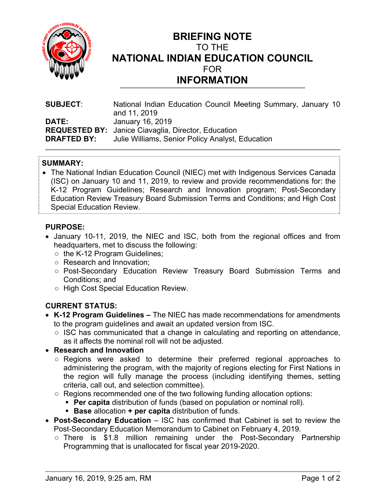

# **BRIEFING NOTE**  TO THE **NATIONAL INDIAN EDUCATION COUNCIL**  FOR **INFORMATION**

| <b>SUBJECT:</b>    | National Indian Education Council Meeting Summary, January 10<br>and 11, 2019 |
|--------------------|-------------------------------------------------------------------------------|
| <b>DATE:</b>       | January 16, 2019                                                              |
|                    | <b>REQUESTED BY:</b> Janice Ciavaglia, Director, Education                    |
| <b>DRAFTED BY:</b> | Julie Williams, Senior Policy Analyst, Education                              |

### **SUMMARY:**

 The National Indian Education Council (NIEC) met with Indigenous Services Canada (ISC) on January 10 and 11, 2019, to review and provide recommendations for: the K-12 Program Guidelines; Research and Innovation program; Post-Secondary Education Review Treasury Board Submission Terms and Conditions; and High Cost Special Education Review.

#### **PURPOSE:**

- January 10-11, 2019, the NIEC and ISC, both from the regional offices and from headquarters, met to discuss the following:
	- the K-12 Program Guidelines;
	- Research and Innovation;
	- Post-Secondary Education Review Treasury Board Submission Terms and Conditions; and
	- High Cost Special Education Review.

### **CURRENT STATUS:**

- **K-12 Program Guidelines** The NIEC has made recommendations for amendments to the program guidelines and await an updated version from ISC.
	- ISC has communicated that a change in calculating and reporting on attendance, as it affects the nominal roll will not be adjusted.
- **Research and Innovation**
	- Regions were asked to determine their preferred regional approaches to administering the program, with the majority of regions electing for First Nations in the region will fully manage the process (including identifying themes, setting criteria, call out, and selection committee).
	- Regions recommended one of the two following funding allocation options:
		- **Per capita** distribution of funds (based on population or nominal roll).
		- **Base** allocation **+ per capita** distribution of funds.
- **Post-Secondary Education** ISC has confirmed that Cabinet is set to review the Post-Secondary Education Memorandum to Cabinet on February 4, 2019.
	- There is \$1.8 million remaining under the Post-Secondary Partnership Programming that is unallocated for fiscal year 2019-2020.